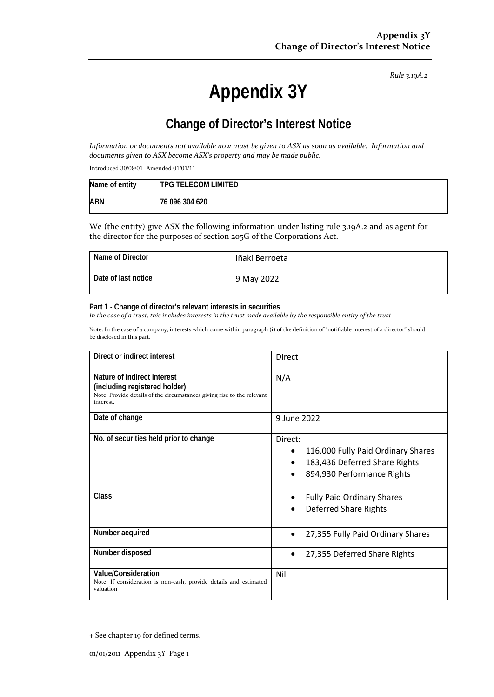*Rule 3.19A.2*

# **Appendix 3Y**

# **Change of Director's Interest Notice**

*Information or documents not available now must be given to ASX as soon as available. Information and documents given to ASX become ASX's property and may be made public.*

Introduced 30/09/01 Amended 01/01/11

| Name of entity | TPG TELECOM LIMITED |
|----------------|---------------------|
| <b>ABN</b>     | 76 096 304 620      |

We (the entity) give ASX the following information under listing rule 3.19A.2 and as agent for the director for the purposes of section 205G of the Corporations Act.

| Name of Director    | Iñaki Berroeta |
|---------------------|----------------|
| Date of last notice | 9 May 2022     |

#### **Part 1 - Change of director's relevant interests in securities**

*In the case of a trust, this includes interests in the trust made available by the responsible entity of the trust*

Note: In the case of a company, interests which come within paragraph (i) of the definition of "notifiable interest of a director" should be disclosed in this part.

| Direct or indirect interest                                                                                                                         | Direct                                                                                                       |  |
|-----------------------------------------------------------------------------------------------------------------------------------------------------|--------------------------------------------------------------------------------------------------------------|--|
| Nature of indirect interest<br>(including registered holder)<br>Note: Provide details of the circumstances giving rise to the relevant<br>interest. | N/A                                                                                                          |  |
| Date of change                                                                                                                                      | 9 June 2022                                                                                                  |  |
| No. of securities held prior to change                                                                                                              | Direct:<br>116,000 Fully Paid Ordinary Shares<br>183,436 Deferred Share Rights<br>894,930 Performance Rights |  |
| Class                                                                                                                                               | <b>Fully Paid Ordinary Shares</b><br>٠<br><b>Deferred Share Rights</b><br>$\bullet$                          |  |
| Number acquired                                                                                                                                     | 27,355 Fully Paid Ordinary Shares<br>$\bullet$                                                               |  |
| Number disposed                                                                                                                                     | 27,355 Deferred Share Rights<br>$\bullet$                                                                    |  |
| Value/Consideration<br>Note: If consideration is non-cash, provide details and estimated<br>valuation                                               | Nil                                                                                                          |  |

<sup>+</sup> See chapter 19 for defined terms.